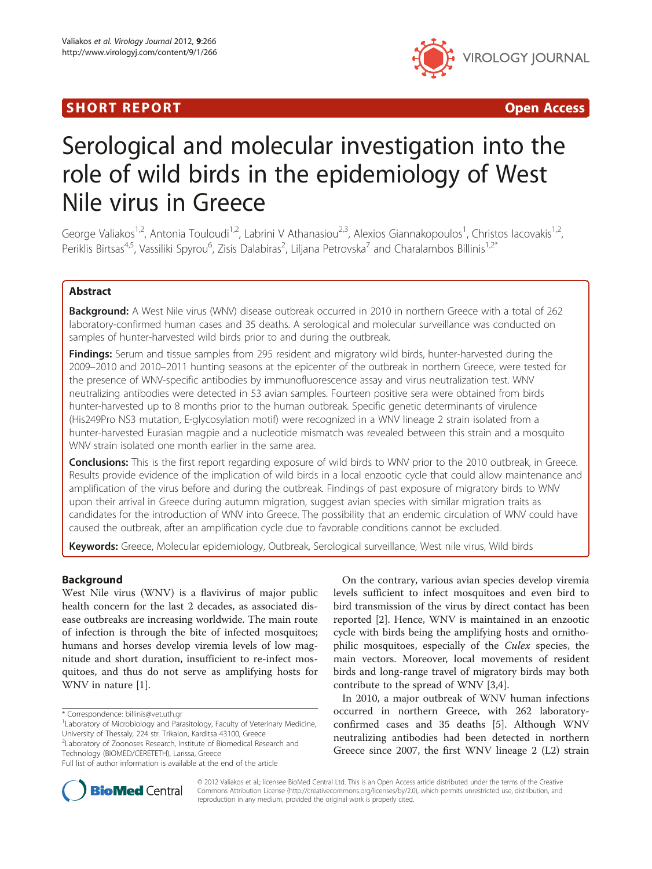## SHORT REPORT **The Contract of the Contract Open Access** (SHORT **Contract of the Contract Open Access**



# Serological and molecular investigation into the role of wild birds in the epidemiology of West Nile virus in Greece

George Valiakos<sup>1,2</sup>, Antonia Touloudi<sup>1,2</sup>, Labrini V Athanasiou<sup>2,3</sup>, Alexios Giannakopoulos<sup>1</sup>, Christos Iacovakis<sup>1,2</sup>, Periklis Birtsas<sup>4,5</sup>, Vassiliki Spyrou<sup>6</sup>, Zisis Dalabiras<sup>2</sup>, Liljana Petrovska<sup>7</sup> and Charalambos Billinis<sup>1,2\*</sup>

## Abstract

Background: A West Nile virus (WNV) disease outbreak occurred in 2010 in northern Greece with a total of 262 laboratory-confirmed human cases and 35 deaths. A serological and molecular surveillance was conducted on samples of hunter-harvested wild birds prior to and during the outbreak.

Findings: Serum and tissue samples from 295 resident and migratory wild birds, hunter-harvested during the 2009–2010 and 2010–2011 hunting seasons at the epicenter of the outbreak in northern Greece, were tested for the presence of WNV-specific antibodies by immunofluorescence assay and virus neutralization test. WNV neutralizing antibodies were detected in 53 avian samples. Fourteen positive sera were obtained from birds hunter-harvested up to 8 months prior to the human outbreak. Specific genetic determinants of virulence (His249Pro NS3 mutation, E-glycosylation motif) were recognized in a WNV lineage 2 strain isolated from a hunter-harvested Eurasian magpie and a nucleotide mismatch was revealed between this strain and a mosquito WNV strain isolated one month earlier in the same area.

Conclusions: This is the first report regarding exposure of wild birds to WNV prior to the 2010 outbreak, in Greece. Results provide evidence of the implication of wild birds in a local enzootic cycle that could allow maintenance and amplification of the virus before and during the outbreak. Findings of past exposure of migratory birds to WNV upon their arrival in Greece during autumn migration, suggest avian species with similar migration traits as candidates for the introduction of WNV into Greece. The possibility that an endemic circulation of WNV could have caused the outbreak, after an amplification cycle due to favorable conditions cannot be excluded.

Keywords: Greece, Molecular epidemiology, Outbreak, Serological surveillance, West nile virus, Wild birds

## Background

West Nile virus (WNV) is a flavivirus of major public health concern for the last 2 decades, as associated disease outbreaks are increasing worldwide. The main route of infection is through the bite of infected mosquitoes; humans and horses develop viremia levels of low magnitude and short duration, insufficient to re-infect mosquitoes, and thus do not serve as amplifying hosts for WNV in nature [\[1](#page-4-0)].

Technology (BIOMED/CERETETH), Larissa, Greece

On the contrary, various avian species develop viremia levels sufficient to infect mosquitoes and even bird to bird transmission of the virus by direct contact has been reported [\[2](#page-4-0)]. Hence, WNV is maintained in an enzootic cycle with birds being the amplifying hosts and ornithophilic mosquitoes, especially of the Culex species, the main vectors. Moreover, local movements of resident birds and long-range travel of migratory birds may both contribute to the spread of WNV [\[3,4\]](#page-4-0).

In 2010, a major outbreak of WNV human infections occurred in northern Greece, with 262 laboratoryconfirmed cases and 35 deaths [\[5\]](#page-4-0). Although WNV neutralizing antibodies had been detected in northern Greece since 2007, the first WNV lineage 2 (L2) strain



© 2012 Valiakos et al.; licensee BioMed Central Ltd. This is an Open Access article distributed under the terms of the Creative Commons Attribution License [\(http://creativecommons.org/licenses/by/2.0\)](http://creativecommons.org/licenses/by/2.0), which permits unrestricted use, distribution, and reproduction in any medium, provided the original work is properly cited.

<sup>\*</sup> Correspondence: [billinis@vet.uth.gr](mailto:billinis@vet.uth.gr) <sup>1</sup>

<sup>&</sup>lt;sup>1</sup> Laboratory of Microbiology and Parasitology, Faculty of Veterinary Medicine, University of Thessaly, 224 str. Trikalon, Karditsa 43100, Greece <sup>2</sup> Laboratory of Zoonoses Research, Institute of Biomedical Research and

Full list of author information is available at the end of the article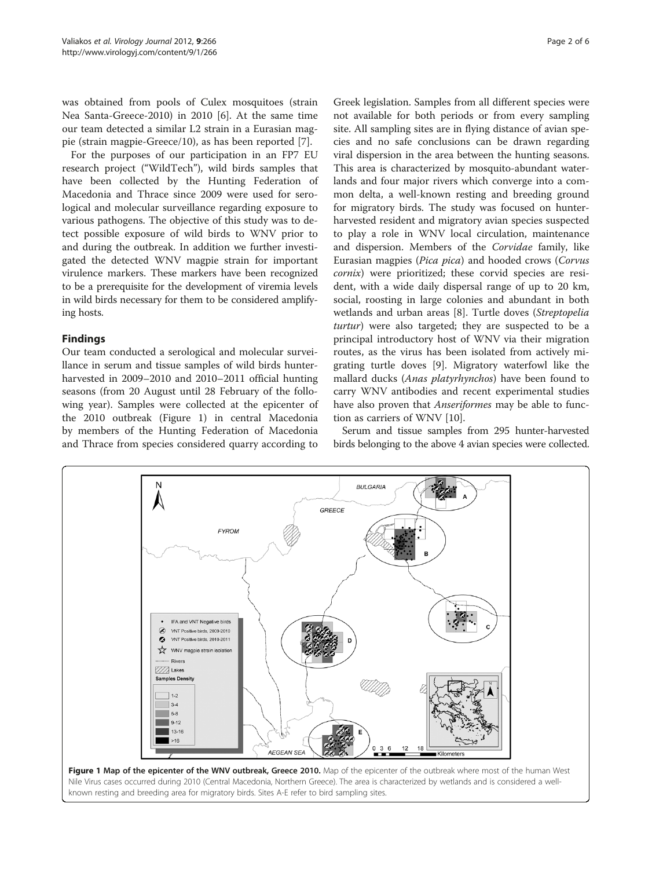<span id="page-1-0"></span>was obtained from pools of Culex mosquitoes (strain Nea Santa-Greece-2010) in 2010 [\[6](#page-4-0)]. At the same time our team detected a similar L2 strain in a Eurasian magpie (strain magpie-Greece/10), as has been reported [\[7](#page-4-0)].

For the purposes of our participation in an FP7 EU research project ("WildTech"), wild birds samples that have been collected by the Hunting Federation of Macedonia and Thrace since 2009 were used for serological and molecular surveillance regarding exposure to various pathogens. The objective of this study was to detect possible exposure of wild birds to WNV prior to and during the outbreak. In addition we further investigated the detected WNV magpie strain for important virulence markers. These markers have been recognized to be a prerequisite for the development of viremia levels in wild birds necessary for them to be considered amplifying hosts.

## Findings

Our team conducted a serological and molecular surveillance in serum and tissue samples of wild birds hunterharvested in 2009–2010 and 2010–2011 official hunting seasons (from 20 August until 28 February of the following year). Samples were collected at the epicenter of the 2010 outbreak (Figure 1) in central Macedonia by members of the Hunting Federation of Macedonia and Thrace from species considered quarry according to

Greek legislation. Samples from all different species were not available for both periods or from every sampling site. All sampling sites are in flying distance of avian species and no safe conclusions can be drawn regarding viral dispersion in the area between the hunting seasons. This area is characterized by mosquito-abundant waterlands and four major rivers which converge into a common delta, a well-known resting and breeding ground for migratory birds. The study was focused on hunterharvested resident and migratory avian species suspected to play a role in WNV local circulation, maintenance and dispersion. Members of the Corvidae family, like Eurasian magpies (Pica pica) and hooded crows (Corvus cornix) were prioritized; these corvid species are resident, with a wide daily dispersal range of up to 20 km, social, roosting in large colonies and abundant in both wetlands and urban areas [\[8](#page-4-0)]. Turtle doves (Streptopelia turtur) were also targeted; they are suspected to be a principal introductory host of WNV via their migration routes, as the virus has been isolated from actively migrating turtle doves [\[9](#page-4-0)]. Migratory waterfowl like the mallard ducks (*Anas platyrhynchos*) have been found to carry WNV antibodies and recent experimental studies have also proven that *Anseriformes* may be able to function as carriers of WNV [[10\]](#page-4-0).

Serum and tissue samples from 295 hunter-harvested birds belonging to the above 4 avian species were collected.

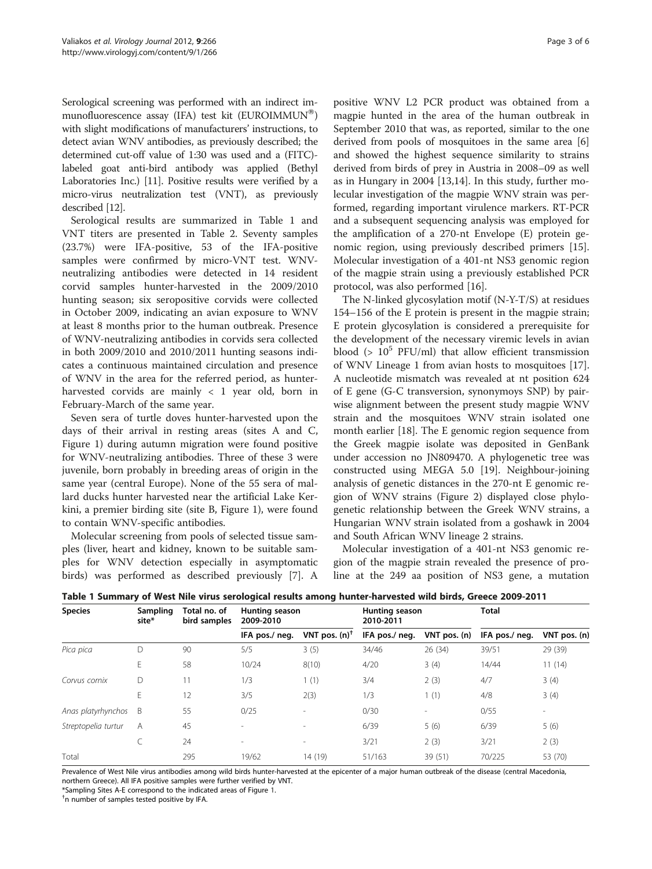Serological screening was performed with an indirect immunofluorescence assay (IFA) test kit (EUROIMMUN®) with slight modifications of manufacturers' instructions, to detect avian WNV antibodies, as previously described; the determined cut-off value of 1:30 was used and a (FITC) labeled goat anti-bird antibody was applied (Bethyl Laboratories Inc.) [[11](#page-4-0)]. Positive results were verified by a micro-virus neutralization test (VNT), as previously described [[12](#page-4-0)].

Serological results are summarized in Table 1 and VNT titers are presented in Table [2.](#page-3-0) Seventy samples (23.7%) were IFA-positive, 53 of the IFA-positive samples were confirmed by micro-VNT test. WNVneutralizing antibodies were detected in 14 resident corvid samples hunter-harvested in the 2009/2010 hunting season; six seropositive corvids were collected in October 2009, indicating an avian exposure to WNV at least 8 months prior to the human outbreak. Presence of WNV-neutralizing antibodies in corvids sera collected in both 2009/2010 and 2010/2011 hunting seasons indicates a continuous maintained circulation and presence of WNV in the area for the referred period, as hunterharvested corvids are mainly < 1 year old, born in February-March of the same year.

Seven sera of turtle doves hunter-harvested upon the days of their arrival in resting areas (sites A and C, Figure [1](#page-1-0)) during autumn migration were found positive for WNV-neutralizing antibodies. Three of these 3 were juvenile, born probably in breeding areas of origin in the same year (central Europe). None of the 55 sera of mallard ducks hunter harvested near the artificial Lake Kerkini, a premier birding site (site B, Figure [1\)](#page-1-0), were found to contain WNV-specific antibodies.

Molecular screening from pools of selected tissue samples (liver, heart and kidney, known to be suitable samples for WNV detection especially in asymptomatic birds) was performed as described previously [\[7](#page-4-0)]. A

positive WNV L2 PCR product was obtained from a magpie hunted in the area of the human outbreak in September 2010 that was, as reported, similar to the one derived from pools of mosquitoes in the same area [\[6](#page-4-0)] and showed the highest sequence similarity to strains derived from birds of prey in Austria in 2008–09 as well as in Hungary in 2004 [[13,14\]](#page-4-0). In this study, further molecular investigation of the magpie WNV strain was performed, regarding important virulence markers. RT-PCR and a subsequent sequencing analysis was employed for the amplification of a 270-nt Envelope (E) protein genomic region, using previously described primers [\[15](#page-4-0)]. Molecular investigation of a 401-nt NS3 genomic region of the magpie strain using a previously established PCR protocol, was also performed [[16\]](#page-5-0).

The N-linked glycosylation motif (N-Y-T/S) at residues 154–156 of the E protein is present in the magpie strain; E protein glycosylation is considered a prerequisite for the development of the necessary viremic levels in avian blood (>  $10^5$  PFU/ml) that allow efficient transmission of WNV Lineage 1 from avian hosts to mosquitoes [\[17](#page-5-0)]. A nucleotide mismatch was revealed at nt position 624 of E gene (G-C transversion, synonymoys SNP) by pairwise alignment between the present study magpie WNV strain and the mosquitoes WNV strain isolated one month earlier [[18](#page-5-0)]. The E genomic region sequence from the Greek magpie isolate was deposited in GenBank under accession no JN809470. A phylogenetic tree was constructed using MEGA 5.0 [\[19\]](#page-5-0). Neighbour-joining analysis of genetic distances in the 270-nt E genomic region of WNV strains (Figure [2\)](#page-3-0) displayed close phylogenetic relationship between the Greek WNV strains, a Hungarian WNV strain isolated from a goshawk in 2004 and South African WNV lineage 2 strains.

Molecular investigation of a 401-nt NS3 genomic region of the magpie strain revealed the presence of proline at the 249 aa position of NS3 gene, a mutation

| <b>Species</b>      | Sampling<br>site* | Total no. of<br>bird samples | Hunting season<br>2009-2010 |                  | Hunting season<br>2010-2011 |                          | <b>Total</b>   |                          |
|---------------------|-------------------|------------------------------|-----------------------------|------------------|-----------------------------|--------------------------|----------------|--------------------------|
|                     |                   |                              | IFA pos./ neg.              | VNT pos. $(n)^T$ | IFA pos./ neg.              | VNT pos. (n)             | IFA pos./ neg. | VNT pos. (n)             |
| Pica pica           | D                 | 90                           | 5/5                         | 3(5)             | 34/46                       | 26 (34)                  | 39/51          | 29 (39)                  |
|                     | E                 | 58                           | 10/24                       | 8(10)            | 4/20                        | 3(4)                     | 14/44          | 11(14)                   |
| Corvus cornix       | D                 | 11                           | 1/3                         | 1(1)             | 3/4                         | 2(3)                     | 4/7            | 3(4)                     |
|                     | E                 | 12                           | 3/5                         | 2(3)             | 1/3                         | 1(1)                     | 4/8            | 3(4)                     |
| Anas platyrhynchos  | B                 | 55                           | 0/25                        | ٠                | 0/30                        | $\overline{\phantom{a}}$ | 0/55           | $\overline{\phantom{a}}$ |
| Streptopelia turtur | A                 | 45                           | $\overline{\phantom{a}}$    | $\sim$           | 6/39                        | 5(6)                     | 6/39           | 5(6)                     |
|                     | C                 | 24                           | $\overline{\phantom{a}}$    | ۰                | 3/21                        | 2(3)                     | 3/21           | 2(3)                     |
| Total               |                   | 295                          | 19/62                       | 14 (19)          | 51/163                      | 39 (51)                  | 70/225         | 53 (70)                  |

Table 1 Summary of West Nile virus serological results among hunter-harvested wild birds, Greece 2009-2011

Prevalence of West Nile virus antibodies among wild birds hunter-harvested at the epicenter of a major human outbreak of the disease (central Macedonia, northern Greece). All IFA positive samples were further verified by VNT.

\*Sampling Sites A-E correspond to the indicated areas of Figure [1.](#page-1-0) †

 $<sup>†</sup>$ n number of samples tested positive by IFA.</sup>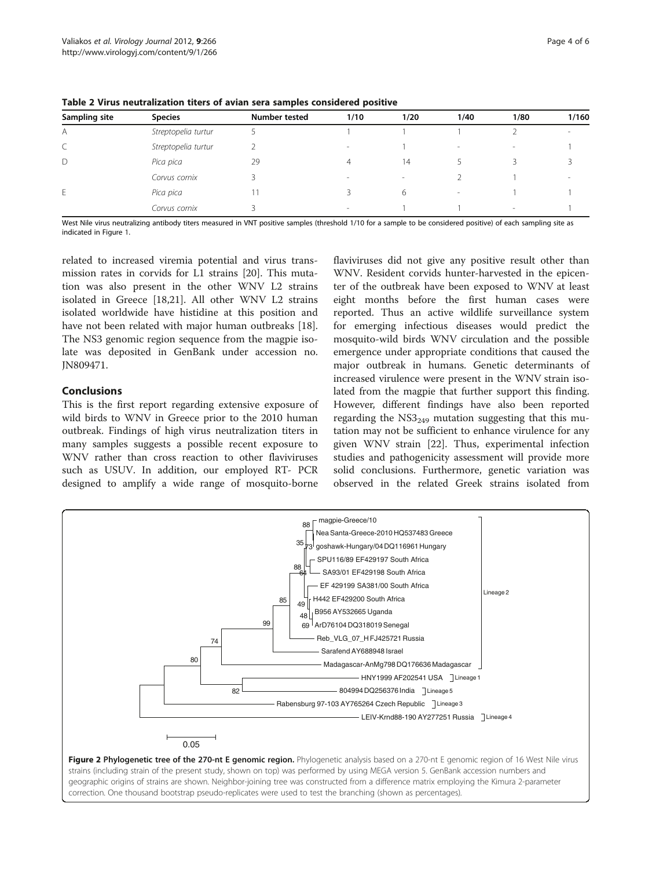| Sampling site | <b>Species</b>      | <b>Number tested</b> | 1/10                     | 1/20   | 1/40                     | 1/80 | 1/160 |
|---------------|---------------------|----------------------|--------------------------|--------|--------------------------|------|-------|
| A             | Streptopelia turtur |                      |                          |        |                          |      |       |
| Ć             | Streptopelia turtur |                      | $\overline{\phantom{a}}$ |        | $\,$                     | -    |       |
| D             | Pica pica           | 29                   | 4                        | 14     |                          |      |       |
|               | Corvus cornix       |                      | $\sim$                   | $\sim$ |                          |      |       |
| E.            | Pica pica           |                      |                          | 6      | $\overline{\phantom{a}}$ |      |       |
|               | Corvus cornix       |                      | $\sim$                   |        |                          | -    |       |

<span id="page-3-0"></span>Table 2 Virus neutralization titers of avian sera samples considered positive

West Nile virus neutralizing antibody titers measured in VNT positive samples (threshold 1/10 for a sample to be considered positive) of each sampling site as indicated in Figure [1.](#page-1-0)

related to increased viremia potential and virus transmission rates in corvids for L1 strains [[20\]](#page-5-0). This mutation was also present in the other WNV L2 strains isolated in Greece [[18,21\]](#page-5-0). All other WNV L2 strains isolated worldwide have histidine at this position and have not been related with major human outbreaks [\[18](#page-5-0)]. The NS3 genomic region sequence from the magpie isolate was deposited in GenBank under accession no. JN809471.

## Conclusions

This is the first report regarding extensive exposure of wild birds to WNV in Greece prior to the 2010 human outbreak. Findings of high virus neutralization titers in many samples suggests a possible recent exposure to WNV rather than cross reaction to other flaviviruses such as USUV. In addition, our employed RT- PCR designed to amplify a wide range of mosquito-borne

flaviviruses did not give any positive result other than WNV. Resident corvids hunter-harvested in the epicenter of the outbreak have been exposed to WNV at least eight months before the first human cases were reported. Thus an active wildlife surveillance system for emerging infectious diseases would predict the mosquito-wild birds WNV circulation and the possible emergence under appropriate conditions that caused the major outbreak in humans. Genetic determinants of increased virulence were present in the WNV strain isolated from the magpie that further support this finding. However, different findings have also been reported regarding the  $NS3<sub>249</sub>$  mutation suggesting that this mutation may not be sufficient to enhance virulence for any given WNV strain [[22](#page-5-0)]. Thus, experimental infection studies and pathogenicity assessment will provide more solid conclusions. Furthermore, genetic variation was observed in the related Greek strains isolated from

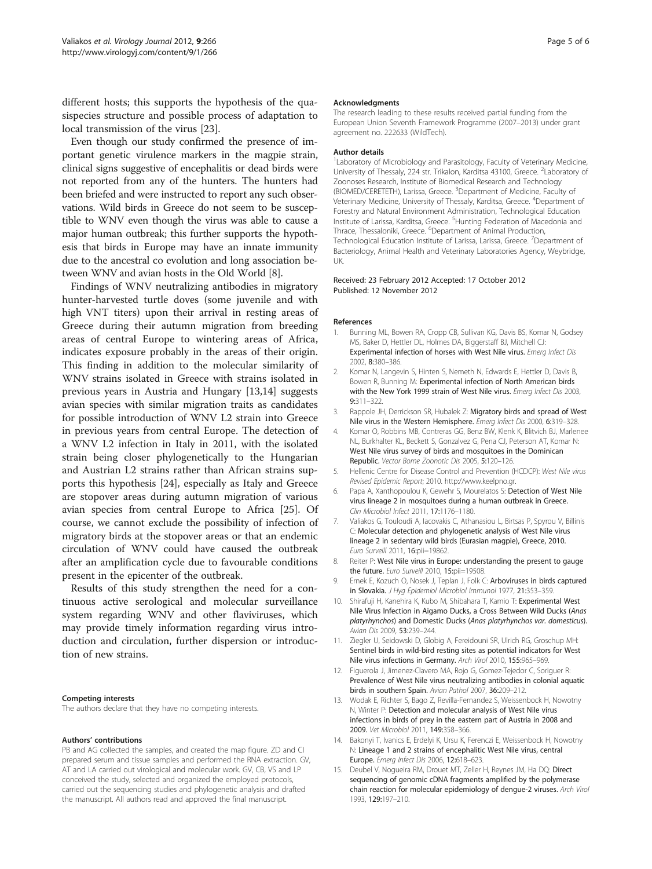<span id="page-4-0"></span>different hosts; this supports the hypothesis of the quasispecies structure and possible process of adaptation to local transmission of the virus [\[23](#page-5-0)].

Even though our study confirmed the presence of important genetic virulence markers in the magpie strain, clinical signs suggestive of encephalitis or dead birds were not reported from any of the hunters. The hunters had been briefed and were instructed to report any such observations. Wild birds in Greece do not seem to be susceptible to WNV even though the virus was able to cause a major human outbreak; this further supports the hypothesis that birds in Europe may have an innate immunity due to the ancestral co evolution and long association between WNV and avian hosts in the Old World [8].

Findings of WNV neutralizing antibodies in migratory hunter-harvested turtle doves (some juvenile and with high VNT titers) upon their arrival in resting areas of Greece during their autumn migration from breeding areas of central Europe to wintering areas of Africa, indicates exposure probably in the areas of their origin. This finding in addition to the molecular similarity of WNV strains isolated in Greece with strains isolated in previous years in Austria and Hungary [13,14] suggests avian species with similar migration traits as candidates for possible introduction of WNV L2 strain into Greece in previous years from central Europe. The detection of a WNV L2 infection in Italy in 2011, with the isolated strain being closer phylogenetically to the Hungarian and Austrian L2 strains rather than African strains supports this hypothesis [\[24](#page-5-0)], especially as Italy and Greece are stopover areas during autumn migration of various avian species from central Europe to Africa [\[25](#page-5-0)]. Of course, we cannot exclude the possibility of infection of migratory birds at the stopover areas or that an endemic circulation of WNV could have caused the outbreak after an amplification cycle due to favourable conditions present in the epicenter of the outbreak.

Results of this study strengthen the need for a continuous active serological and molecular surveillance system regarding WNV and other flaviviruses, which may provide timely information regarding virus introduction and circulation, further dispersion or introduction of new strains.

#### Competing interests

The authors declare that they have no competing interests.

#### Authors' contributions

PB and AG collected the samples, and created the map figure. ZD and CI prepared serum and tissue samples and performed the RNA extraction. GV, AT and LA carried out virological and molecular work. GV, CB, VS and LP conceived the study, selected and organized the employed protocols, carried out the sequencing studies and phylogenetic analysis and drafted the manuscript. All authors read and approved the final manuscript.

#### Acknowledgments

The research leading to these results received partial funding from the European Union Seventh Framework Programme (2007–2013) under grant agreement no. 222633 (WildTech).

#### Author details

<sup>1</sup> Laboratory of Microbiology and Parasitology, Faculty of Veterinary Medicine University of Thessaly, 224 str. Trikalon, Karditsa 43100, Greece. <sup>2</sup>Laboratory of Zoonoses Research, Institute of Biomedical Research and Technology (BIOMED/CERETETH), Larissa, Greece. <sup>3</sup>Department of Medicine, Faculty of Veterinary Medicine, University of Thessaly, Karditsa, Greece. <sup>4</sup>Department of Forestry and Natural Environment Administration, Technological Education Institute of Larissa, Karditsa, Greece. <sup>5</sup>Hunting Federation of Macedonia and Thrace, Thessaloniki, Greece. <sup>6</sup>Department of Animal Production, Technological Education Institute of Larissa, Larissa, Greece. <sup>7</sup>Department of Bacteriology, Animal Health and Veterinary Laboratories Agency, Weybridge, UK.

#### Received: 23 February 2012 Accepted: 17 October 2012 Published: 12 November 2012

#### References

- Bunning ML, Bowen RA, Cropp CB, Sullivan KG, Davis BS, Komar N, Godsey MS, Baker D, Hettler DL, Holmes DA, Biggerstaff BJ, Mitchell CJ: Experimental infection of horses with West Nile virus. Emerg Infect Dis 2002, 8:380–386.
- 2. Komar N, Langevin S, Hinten S, Nemeth N, Edwards E, Hettler D, Davis B, Bowen R, Bunning M: Experimental infection of North American birds with the New York 1999 strain of West Nile virus. Emerg Infect Dis 2003, 9:311–322.
- 3. Rappole JH, Derrickson SR, Hubalek Z: Migratory birds and spread of West Nile virus in the Western Hemisphere. Emerg Infect Dis 2000, 6:319–328.
- 4. Komar O, Robbins MB, Contreras GG, Benz BW, Klenk K, Blitvich BJ, Marlenee NL, Burkhalter KL, Beckett S, Gonzalvez G, Pena CJ, Peterson AT, Komar N: West Nile virus survey of birds and mosquitoes in the Dominican Republic. Vector Borne Zoonotic Dis 2005, 5:120–126.
- 5. Hellenic Centre for Disease Control and Prevention (HCDCP): West Nile virus Revised Epidemic Report; 2010. [http://www.keelpno.gr.](http://www.keelpno.gr)
- 6. Papa A, Xanthopoulou K, Gewehr S, Mourelatos S: Detection of West Nile virus lineage 2 in mosquitoes during a human outbreak in Greece. Clin Microbiol Infect 2011, 17:1176–1180.
- 7. Valiakos G, Touloudi A, Iacovakis C, Athanasiou L, Birtsas P, Spyrou V, Billinis C: Molecular detection and phylogenetic analysis of West Nile virus lineage 2 in sedentary wild birds (Eurasian magpie), Greece, 2010. Euro Surveill 2011, 16:pii=19862.
- 8. Reiter P: West Nile virus in Europe: understanding the present to gauge the future. Euro Surveill 2010, 15:pii=19508.
- 9. Ernek E, Kozuch O, Nosek J, Teplan J, Folk C: Arboviruses in birds captured in Slovakia. J Hyg Epidemiol Microbiol Immunol 1977, 21:353–359.
- 10. Shirafuji H, Kanehira K, Kubo M, Shibahara T, Kamio T: Experimental West Nile Virus Infection in Aigamo Ducks, a Cross Between Wild Ducks (Anas platyrhynchos) and Domestic Ducks (Anas platyrhynchos var. domesticus). Avian Dis 2009, 53:239–244.
- 11. Ziegler U, Seidowski D, Globig A, Fereidouni SR, Ulrich RG, Groschup MH: Sentinel birds in wild-bird resting sites as potential indicators for West Nile virus infections in Germany. Arch Virol 2010, 155:965–969.
- 12. Figuerola J, Jimenez-Clavero MA, Rojo G, Gomez-Tejedor C, Soriguer R: Prevalence of West Nile virus neutralizing antibodies in colonial aquatic birds in southern Spain. Avian Pathol 2007, 36:209–212.
- 13. Wodak E, Richter S, Bago Z, Revilla-Fernandez S, Weissenbock H, Nowotny N, Winter P: Detection and molecular analysis of West Nile virus infections in birds of prey in the eastern part of Austria in 2008 and 2009. Vet Microbiol 2011, 149:358–366.
- 14. Bakonyi T, Ivanics E, Erdelyi K, Ursu K, Ferenczi E, Weissenbock H, Nowotny N: Lineage 1 and 2 strains of encephalitic West Nile virus, central Europe. Emerg Infect Dis 2006, 12:618–623.
- 15. Deubel V, Nogueira RM, Drouet MT, Zeller H, Reynes JM, Ha DQ: Direct sequencing of genomic cDNA fragments amplified by the polymerase chain reaction for molecular epidemiology of dengue-2 viruses. Arch Virol 1993, 129:197–210.